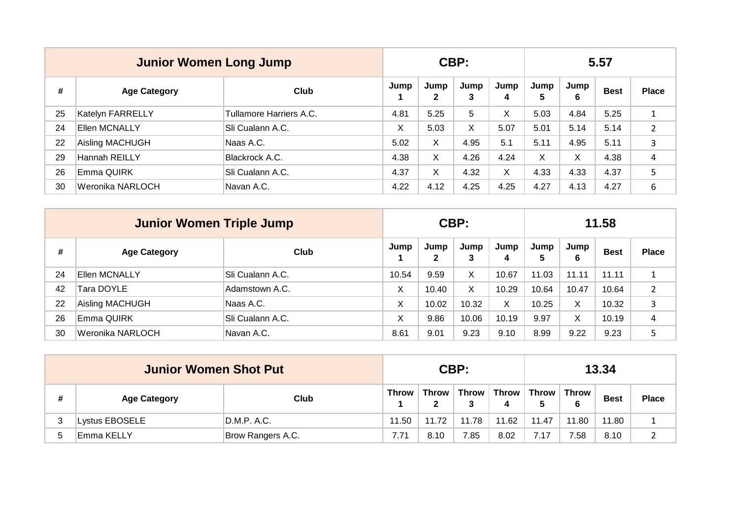|    | <b>Junior Women Long Jump</b> |                         |      |                      | CBP:      |           | 5.57      |           |             |              |  |
|----|-------------------------------|-------------------------|------|----------------------|-----------|-----------|-----------|-----------|-------------|--------------|--|
| #  | <b>Age Category</b>           | Club                    | Jump | Jump<br>$\mathbf{2}$ | Jump<br>3 | Jump<br>4 | Jump<br>5 | Jump<br>6 | <b>Best</b> | <b>Place</b> |  |
| 25 | <b>Katelyn FARRELLY</b>       | Tullamore Harriers A.C. | 4.81 | 5.25                 | 5         | X         | 5.03      | 4.84      | 5.25        | 1            |  |
| 24 | <b>Ellen MCNALLY</b>          | Sli Cualann A.C.        | X    | 5.03                 | X         | 5.07      | 5.01      | 5.14      | 5.14        | 2            |  |
| 22 | Aisling MACHUGH               | Naas A.C.               | 5.02 | X                    | 4.95      | 5.1       | 5.11      | 4.95      | 5.11        | 3            |  |
| 29 | Hannah REILLY                 | Blackrock A.C.          | 4.38 | X                    | 4.26      | 4.24      | X.        | X         | 4.38        | 4            |  |
| 26 | Emma QUIRK                    | Sli Cualann A.C.        | 4.37 | X                    | 4.32      | X         | 4.33      | 4.33      | 4.37        | 5            |  |
| 30 | Weronika NARLOCH              | Navan A.C.              | 4.22 | 4.12                 | 4.25      | 4.25      | 4.27      | 4.13      | 4.27        | 6            |  |

|    | <b>Junior Women Triple Jump</b> |                  |       |           | CBP:      |           | 11.58     |           |             |                |  |
|----|---------------------------------|------------------|-------|-----------|-----------|-----------|-----------|-----------|-------------|----------------|--|
| #  | <b>Age Category</b>             | Club             | Jump  | Jump<br>2 | Jump<br>3 | Jump<br>4 | Jump<br>5 | Jump<br>6 | <b>Best</b> | <b>Place</b>   |  |
| 24 | <b>Ellen MCNALLY</b>            | Sli Cualann A.C. | 10.54 | 9.59      | X         | 10.67     | 11.03     | 11.11     | 11.11       |                |  |
| 42 | Tara DOYLE                      | Adamstown A.C.   | X     | 10.40     | X         | 10.29     | 10.64     | 10.47     | 10.64       | $\overline{2}$ |  |
| 22 | Aisling MACHUGH                 | Naas A.C.        | Χ     | 10.02     | 10.32     | X         | 10.25     | X         | 10.32       | 3              |  |
| 26 | Emma QUIRK                      | Sli Cualann A.C. | Х     | 9.86      | 10.06     | 10.19     | 9.97      | X         | 10.19       | 4              |  |
| 30 | Weronika NARLOCH                | Navan A.C.       | 8.61  | 9.01      | 9.23      | 9.10      | 8.99      | 9.22      | 9.23        |                |  |

| <b>Junior Women Shot Put</b> |                   |              |                                | CBP:  |       | 13.34                        |            |             |              |  |
|------------------------------|-------------------|--------------|--------------------------------|-------|-------|------------------------------|------------|-------------|--------------|--|
| <b>Age Category</b>          | Club              | <b>Throw</b> | Throw <b>b</b><br>$\mathbf{2}$ |       | 4     | Throw   Throw   Throw  <br>5 | Throw<br>6 | <b>Best</b> | <b>Place</b> |  |
| Lystus EBOSELE               | D.M.P. A.C.       | 11.50        | 11.72                          | 11.78 | 11.62 | 11.47                        | 11.80      | 11.80       | ᅩ            |  |
| Emma KELLY                   | Brow Rangers A.C. | 7.71         | 8.10                           | 7.85  | 8.02  | 7.17                         | 58.        | 8.10        |              |  |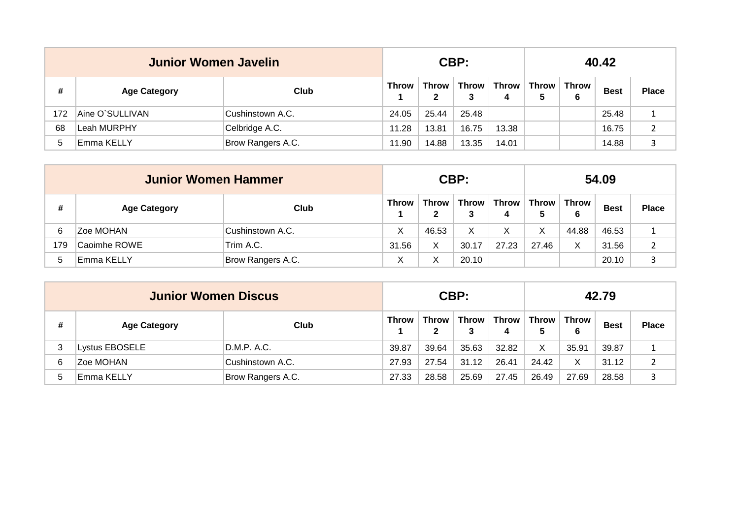|     | Junior Women Javelin |                   |              |            | CBP:       |                        | 40.42        |            |             |              |  |  |
|-----|----------------------|-------------------|--------------|------------|------------|------------------------|--------------|------------|-------------|--------------|--|--|
| #   | <b>Age Category</b>  | Club              | <b>Throw</b> | Throw<br>2 | Throw<br>3 | Throw $\mathsf I$<br>4 | Throw ∣<br>5 | Throw<br>6 | <b>Best</b> | <b>Place</b> |  |  |
| 172 | Aine O`SULLIVAN      | Cushinstown A.C.  | 24.05        | 25.44      | 25.48      |                        |              |            | 25.48       |              |  |  |
| 68  | lLeah MURPHY         | Celbridge A.C.    | 11.28        | 13.81      | 16.75      | 13.38                  |              |            | 16.75       | າ            |  |  |
|     | Emma KELLY           | Brow Rangers A.C. | 11.90        | 14.88      | 13.35      | 14.01                  |              |            | 14.88       |              |  |  |

|     | <b>Junior Women Hammer</b> |                   |                   |                       | CBP:       |                    | 54.09        |            |             |              |  |
|-----|----------------------------|-------------------|-------------------|-----------------------|------------|--------------------|--------------|------------|-------------|--------------|--|
| #   | <b>Age Category</b>        | Club              | <b>Throw</b>      | Throw<br>$\mathbf{2}$ | Throw<br>3 | Throw $\vert$<br>4 | Throw  <br>5 | Throw<br>6 | <b>Best</b> | <b>Place</b> |  |
|     | <b>Zoe MOHAN</b>           | Cushinstown A.C.  | Х                 | 46.53                 | X          | X                  | Χ            | 44.88      | 46.53       |              |  |
| 179 | Caoimhe ROWE               | Trim A.C.         | 31.56             | X                     | 30.17      | 27.23              | 27.46        | X          | 31.56       | າ            |  |
|     | Emma KELLY                 | Brow Rangers A.C. | $\checkmark$<br>⌒ | X                     | 20.10      |                    |              |            | 20.10       |              |  |

|   | <b>Junior Women Discus</b> |                   |              |                   | CBP:         |            | 42.79 |            |             |              |  |
|---|----------------------------|-------------------|--------------|-------------------|--------------|------------|-------|------------|-------------|--------------|--|
| # | <b>Age Category</b>        | Club              | <b>Throw</b> | <b>Throw</b><br>2 | <b>Throw</b> | Throw<br>4 | Throw | Throw<br>6 | <b>Best</b> | <b>Place</b> |  |
|   | Lystus EBOSELE             | D.M.P. A.C.       | 39.87        | 39.64             | 35.63        | 32.82      | X     | 35.91      | 39.87       |              |  |
| 6 | <b>Zoe MOHAN</b>           | Cushinstown A.C.  | 27.93        | 27.54             | 31.12        | 26.41      | 24.42 | X          | 31.12       |              |  |
|   | Emma KELLY                 | Brow Rangers A.C. | 27.33        | 28.58             | 25.69        | 27.45      | 26.49 | 27.69      | 28.58       |              |  |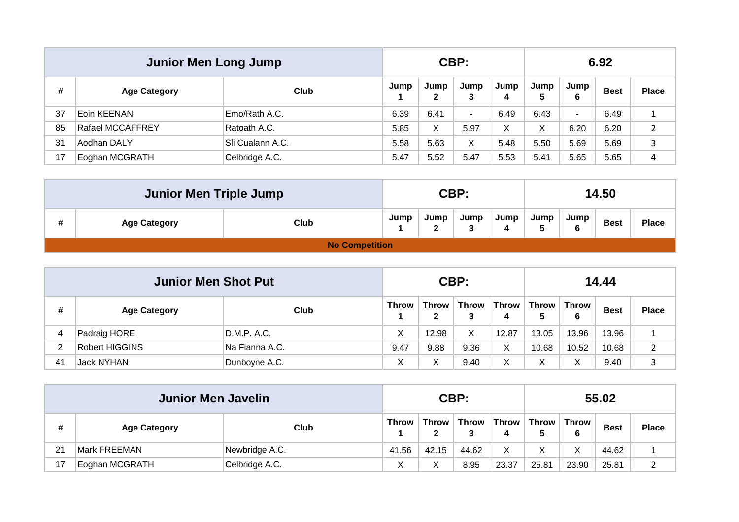|    | <b>Junior Men Long Jump</b> |                  |      |                      | CBP:                     |           | 6.92       |                          |             |              |  |
|----|-----------------------------|------------------|------|----------------------|--------------------------|-----------|------------|--------------------------|-------------|--------------|--|
| #  | <b>Age Category</b>         | Club             | Jump | Jump<br>$\mathbf{2}$ | Jump<br>3                | Jump<br>4 | Jump<br>5. | Jump<br>6                | <b>Best</b> | <b>Place</b> |  |
| 37 | Eoin KEENAN                 | Emo/Rath A.C.    | 6.39 | 6.41                 | $\overline{\phantom{a}}$ | 6.49      | 6.43       | $\overline{\phantom{a}}$ | 6.49        |              |  |
| 85 | Rafael MCCAFFREY            | Ratoath A.C.     | 5.85 | Χ                    | 5.97                     | X         | Χ          | 6.20                     | 6.20        | 2            |  |
| 31 | Aodhan DALY                 | Sli Cualann A.C. | 5.58 | 5.63                 | X                        | 5.48      | 5.50       | 5.69                     | 5.69        | 3            |  |
| 17 | Eoghan MCGRATH              | Celbridge A.C.   | 5.47 | 5.52                 | 5.47                     | 5.53      | 5.41       | 5.65                     | 5.65        | 4            |  |

| <b>Junior Men Triple Jump</b> |                       |      |           | CBP: |      |      |           | 14.50       |              |
|-------------------------------|-----------------------|------|-----------|------|------|------|-----------|-------------|--------------|
| <b>Age Category</b>           | Club                  | Jump | Jump<br>2 | Jump | Jump | Jump | Jump<br>6 | <b>Best</b> | <b>Place</b> |
|                               | <b>No Competition</b> |      |           |      |      |      |           |             |              |

|    | <b>Junior Men Shot Put</b> |                |              |                              | CBP:       |              | 14.44        |            |             |              |  |
|----|----------------------------|----------------|--------------|------------------------------|------------|--------------|--------------|------------|-------------|--------------|--|
| #  | <b>Age Category</b>        | Club           | <b>Throw</b> | <b>Throw</b><br>$\mathbf{2}$ | Throw<br>3 | Throw  <br>4 | Throw I<br>5 | Throw<br>6 | <b>Best</b> | <b>Place</b> |  |
| 4  | Padraig HORE               | D.M.P. A.C.    | Х            | 12.98                        | X          | 12.87        | 13.05        | 13.96      | 13.96       | ᅩ            |  |
|    | Robert HIGGINS             | Na Fianna A.C. | 9.47         | 9.88                         | 9.36       | Χ            | 10.68        | 10.52      | 10.68       |              |  |
| 41 | Jack NYHAN                 | Dunboyne A.C.  | v<br>∧       | X                            | 9.40       | X            |              |            | 9.40        |              |  |

|    | <b>Junior Men Javelin</b> |                |              |                   | CBP:              |                | 55.02 |            |             |              |  |
|----|---------------------------|----------------|--------------|-------------------|-------------------|----------------|-------|------------|-------------|--------------|--|
| #  | <b>Age Category</b>       | Club           | <b>Throw</b> | <b>Throw</b><br>2 | <b>Throw</b><br>3 | Throw $ $<br>4 | Throw | Throw<br>6 | <b>Best</b> | <b>Place</b> |  |
| 21 | Mark FREEMAN              | Newbridge A.C. | 41.56        | 42.15             | 44.62             | Χ              |       | v          | 44.62       | ᅩ            |  |
| 17 | Eoghan MCGRATH            | Celbridge A.C. | ν<br>⌒       | Χ                 | 8.95              | 23.37          | 25.81 | 23.90      | 25.81       |              |  |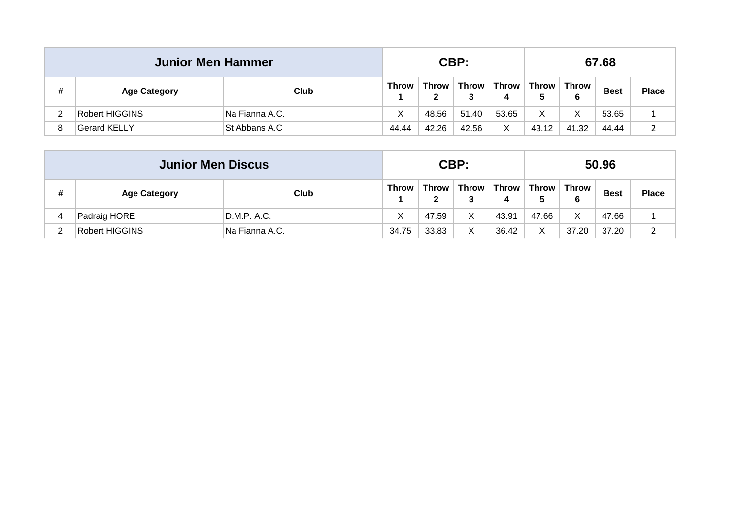|   | <b>Junior Men Hammer</b> |                |              |            | CBP:         |            | 67.68 |            |             |              |  |
|---|--------------------------|----------------|--------------|------------|--------------|------------|-------|------------|-------------|--------------|--|
| # | <b>Age Category</b>      | Club           | <b>Throw</b> | Throw<br>2 | <b>Throw</b> | Throw<br>4 | Throw | Throw<br>6 | <b>Best</b> | <b>Place</b> |  |
|   | Robert HIGGINS           | Na Fianna A.C. | X            | 48.56      | 51.40        | 53.65      | Χ     | Χ          | 53.65       |              |  |
|   | Gerard KELLY             | St Abbans A.C  | 44.44        | 42.26      | 42.56        | X          | 43.12 | 41.32      | 44.44       |              |  |

|   | <b>Junior Men Discus</b> |                |              |                              | CBP:       |       | 50.96                            |            |             |              |  |
|---|--------------------------|----------------|--------------|------------------------------|------------|-------|----------------------------------|------------|-------------|--------------|--|
| # | <b>Age Category</b>      | Club           | <b>Throw</b> | <b>Throw</b><br>$\mathbf{2}$ | Throw<br>3 | 4     | $\mid$ Throw $\mid$ Throw $\mid$ | Throw<br>6 | <b>Best</b> | <b>Place</b> |  |
|   | Padraig HORE             | D.M.P. A.C.    | X            | 47.59                        | X          | 43.91 | 47.66                            | Х          | 47.66       | ᅩ            |  |
|   | Robert HIGGINS           | Na Fianna A.C. | 34.75        | 33.83                        | X          | 36.42 | v                                | 37.20      | 37.20       |              |  |